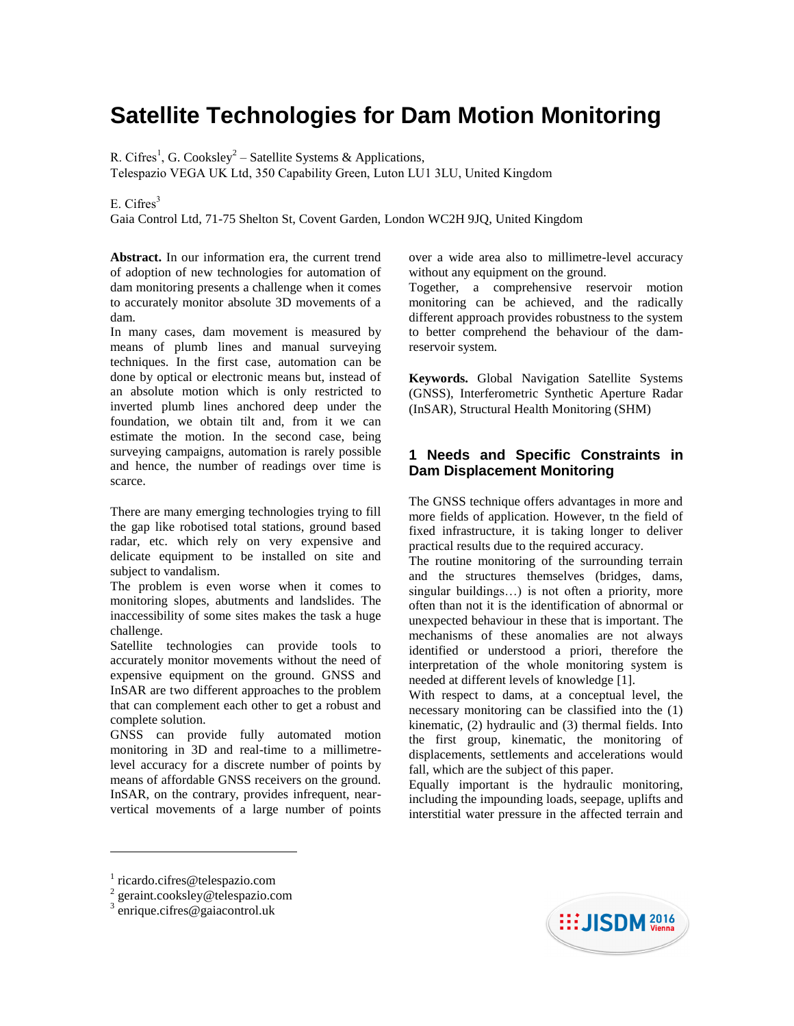# **Satellite Technologies for Dam Motion Monitoring**

R. Cifres<sup>1</sup>, G. Cooksley<sup>2</sup> – Satellite Systems & Applications,

Telespazio VEGA UK Ltd, 350 Capability Green, Luton LU1 3LU, United Kingdom

# E. Cifres $3$

Gaia Control Ltd, 71-75 Shelton St, Covent Garden, London WC2H 9JQ, United Kingdom

**Abstract.** In our information era, the current trend of adoption of new technologies for automation of dam monitoring presents a challenge when it comes to accurately monitor absolute 3D movements of a dam.

In many cases, dam movement is measured by means of plumb lines and manual surveying techniques. In the first case, automation can be done by optical or electronic means but, instead of an absolute motion which is only restricted to inverted plumb lines anchored deep under the foundation, we obtain tilt and, from it we can estimate the motion. In the second case, being surveying campaigns, automation is rarely possible and hence, the number of readings over time is scarce.

There are many emerging technologies trying to fill the gap like robotised total stations, ground based radar, etc. which rely on very expensive and delicate equipment to be installed on site and subject to vandalism.

The problem is even worse when it comes to monitoring slopes, abutments and landslides. The inaccessibility of some sites makes the task a huge challenge.

Satellite technologies can provide tools to accurately monitor movements without the need of expensive equipment on the ground. GNSS and InSAR are two different approaches to the problem that can complement each other to get a robust and complete solution.

GNSS can provide fully automated motion monitoring in 3D and real-time to a millimetrelevel accuracy for a discrete number of points by means of affordable GNSS receivers on the ground. InSAR, on the contrary, provides infrequent, nearvertical movements of a large number of points

over a wide area also to millimetre-level accuracy without any equipment on the ground.

Together, a comprehensive reservoir motion monitoring can be achieved, and the radically different approach provides robustness to the system to better comprehend the behaviour of the damreservoir system.

**Keywords.** Global Navigation Satellite Systems (GNSS), Interferometric Synthetic Aperture Radar (InSAR), Structural Health Monitoring (SHM)

# **1 Needs and Specific Constraints in Dam Displacement Monitoring**

The GNSS technique offers advantages in more and more fields of application. However, tn the field of fixed infrastructure, it is taking longer to deliver practical results due to the required accuracy.

The routine monitoring of the surrounding terrain and the structures themselves (bridges, dams, singular buildings...) is not often a priority, more often than not it is the identification of abnormal or unexpected behaviour in these that is important. The mechanisms of these anomalies are not always identified or understood a priori, therefore the interpretation of the whole monitoring system is needed at different levels of knowledge [1].

With respect to dams, at a conceptual level, the necessary monitoring can be classified into the (1) kinematic, (2) hydraulic and (3) thermal fields. Into the first group, kinematic, the monitoring of displacements, settlements and accelerations would fall, which are the subject of this paper.

Equally important is the hydraulic monitoring, including the impounding loads, seepage, uplifts and interstitial water pressure in the affected terrain and

l



<sup>1</sup> [ricardo.cifres@telespazio.com](mailto:ricardo.cifres@telespazio.com)

<sup>&</sup>lt;sup>2</sup> geraint.cooksley@telespazio.com

[enrique.cifres@gaiacontrol.uk](mailto:enrique.cifres@gaiacontrol.uk)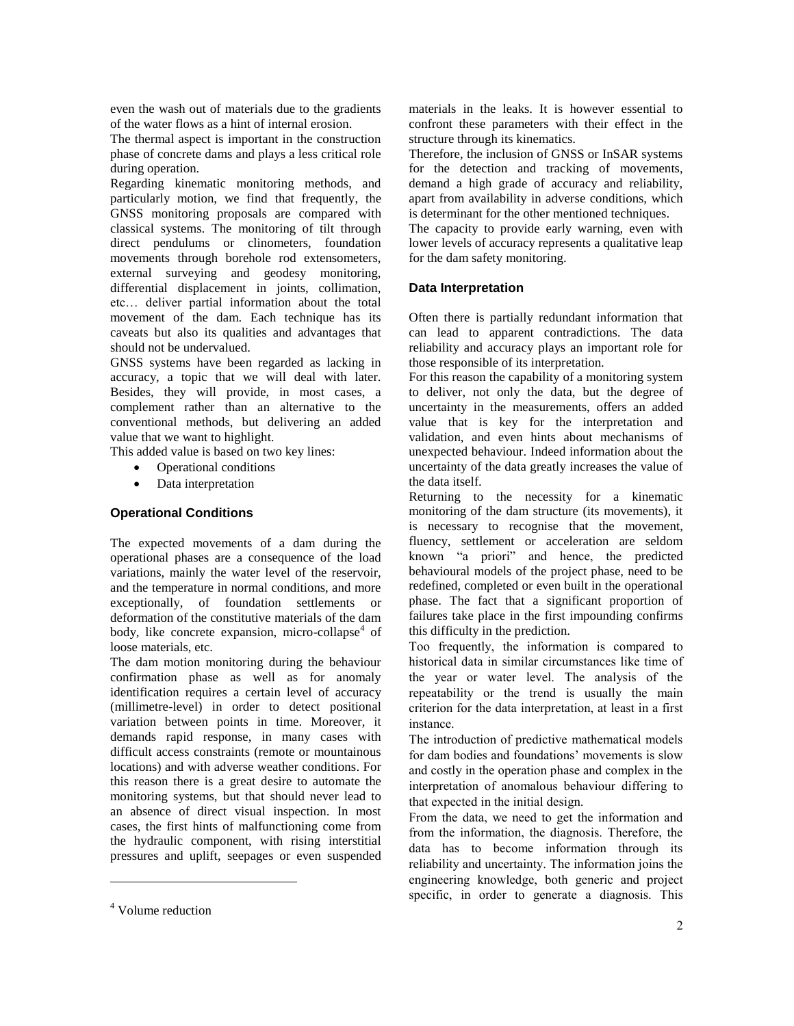even the wash out of materials due to the gradients of the water flows as a hint of internal erosion.

The thermal aspect is important in the construction phase of concrete dams and plays a less critical role during operation.

Regarding kinematic monitoring methods, and particularly motion, we find that frequently, the GNSS monitoring proposals are compared with classical systems. The monitoring of tilt through direct pendulums or clinometers, foundation movements through borehole rod extensometers, external surveying and geodesy monitoring, differential displacement in joints, collimation, etc… deliver partial information about the total movement of the dam. Each technique has its caveats but also its qualities and advantages that should not be undervalued.

GNSS systems have been regarded as lacking in accuracy, a topic that we will deal with later. Besides, they will provide, in most cases, a complement rather than an alternative to the conventional methods, but delivering an added value that we want to highlight.

This added value is based on two key lines:

- Operational conditions
- Data interpretation

# **Operational Conditions**

The expected movements of a dam during the operational phases are a consequence of the load variations, mainly the water level of the reservoir, and the temperature in normal conditions, and more exceptionally, of foundation settlements or deformation of the constitutive materials of the dam body, like concrete expansion, micro-collapse<sup>4</sup> of loose materials, etc.

The dam motion monitoring during the behaviour confirmation phase as well as for anomaly identification requires a certain level of accuracy (millimetre-level) in order to detect positional variation between points in time. Moreover, it demands rapid response, in many cases with difficult access constraints (remote or mountainous locations) and with adverse weather conditions. For this reason there is a great desire to automate the monitoring systems, but that should never lead to an absence of direct visual inspection. In most cases, the first hints of malfunctioning come from the hydraulic component, with rising interstitial pressures and uplift, seepages or even suspended

l

materials in the leaks. It is however essential to confront these parameters with their effect in the structure through its kinematics.

Therefore, the inclusion of GNSS or InSAR systems for the detection and tracking of movements, demand a high grade of accuracy and reliability, apart from availability in adverse conditions, which is determinant for the other mentioned techniques.

The capacity to provide early warning, even with lower levels of accuracy represents a qualitative leap for the dam safety monitoring.

## **Data Interpretation**

Often there is partially redundant information that can lead to apparent contradictions. The data reliability and accuracy plays an important role for those responsible of its interpretation.

For this reason the capability of a monitoring system to deliver, not only the data, but the degree of uncertainty in the measurements, offers an added value that is key for the interpretation and validation, and even hints about mechanisms of unexpected behaviour. Indeed information about the uncertainty of the data greatly increases the value of the data itself.

Returning to the necessity for a kinematic monitoring of the dam structure (its movements), it is necessary to recognise that the movement, fluency, settlement or acceleration are seldom known "a priori" and hence, the predicted behavioural models of the project phase, need to be redefined, completed or even built in the operational phase. The fact that a significant proportion of failures take place in the first impounding confirms this difficulty in the prediction.

Too frequently, the information is compared to historical data in similar circumstances like time of the year or water level. The analysis of the repeatability or the trend is usually the main criterion for the data interpretation, at least in a first instance.

The introduction of predictive mathematical models for dam bodies and foundations' movements is slow and costly in the operation phase and complex in the interpretation of anomalous behaviour differing to that expected in the initial design.

From the data, we need to get the information and from the information, the diagnosis. Therefore, the data has to become information through its reliability and uncertainty. The information joins the engineering knowledge, both generic and project specific, in order to generate a diagnosis. This

<sup>4</sup> Volume reduction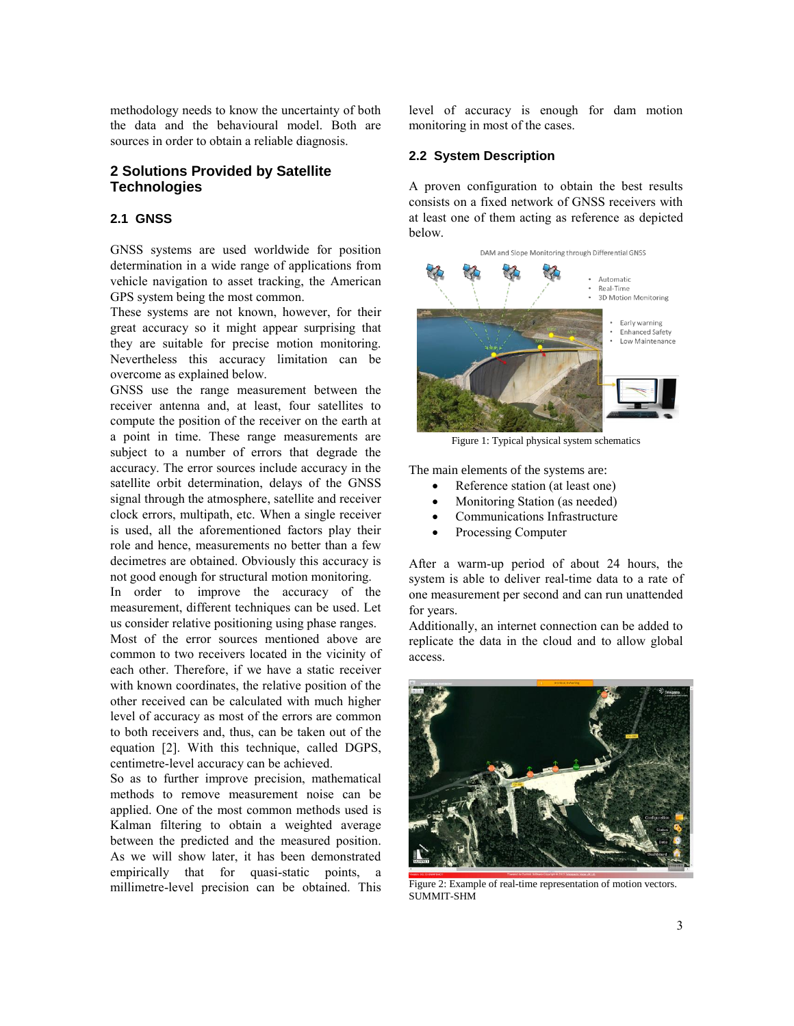methodology needs to know the uncertainty of both the data and the behavioural model. Both are sources in order to obtain a reliable diagnosis.

# **2 Solutions Provided by Satellite Technologies**

#### **2.1 GNSS**

GNSS systems are used worldwide for position determination in a wide range of applications from vehicle navigation to asset tracking, the American GPS system being the most common.

These systems are not known, however, for their great accuracy so it might appear surprising that they are suitable for precise motion monitoring. Nevertheless this accuracy limitation can be overcome as explained below.

GNSS use the range measurement between the receiver antenna and, at least, four satellites to compute the position of the receiver on the earth at a point in time. These range measurements are subject to a number of errors that degrade the accuracy. The error sources include accuracy in the satellite orbit determination, delays of the GNSS signal through the atmosphere, satellite and receiver clock errors, multipath, etc. When a single receiver is used, all the aforementioned factors play their role and hence, measurements no better than a few decimetres are obtained. Obviously this accuracy is not good enough for structural motion monitoring.

In order to improve the accuracy of the measurement, different techniques can be used. Let us consider relative positioning using phase ranges. Most of the error sources mentioned above are common to two receivers located in the vicinity of each other. Therefore, if we have a static receiver with known coordinates, the relative position of the other received can be calculated with much higher level of accuracy as most of the errors are common to both receivers and, thus, can be taken out of the equation [2]. With this technique, called DGPS, centimetre-level accuracy can be achieved.

So as to further improve precision, mathematical methods to remove measurement noise can be applied. One of the most common methods used is Kalman filtering to obtain a weighted average between the predicted and the measured position. As we will show later, it has been demonstrated empirically that for quasi-static points, a millimetre-level precision can be obtained. This level of accuracy is enough for dam motion monitoring in most of the cases.

#### **2.2 System Description**

A proven configuration to obtain the best results consists on a fixed network of GNSS receivers with at least one of them acting as reference as depicted below.



Figure 1: Typical physical system schematics

The main elements of the systems are:

- Reference station (at least one)
- Monitoring Station (as needed)
- Communications Infrastructure
- Processing Computer

After a warm-up period of about 24 hours, the system is able to deliver real-time data to a rate of one measurement per second and can run unattended for years.

Additionally, an internet connection can be added to replicate the data in the cloud and to allow global access.



Figure 2: Example of real-time representation of motion vectors. SUMMIT-SHM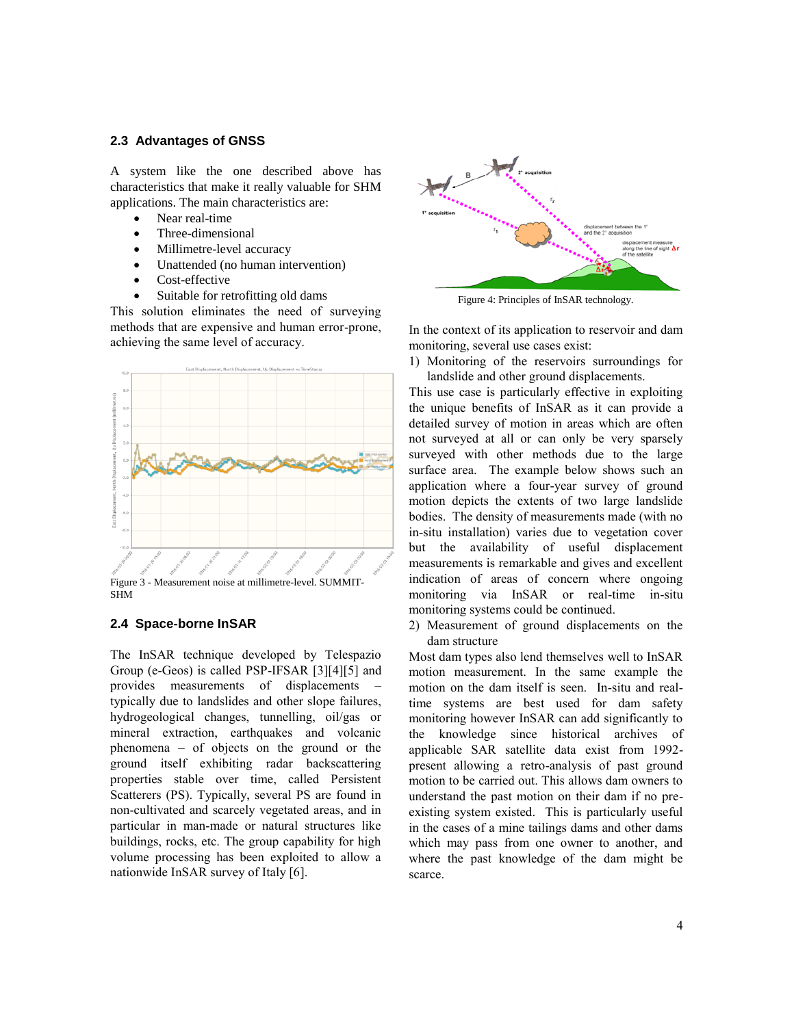#### **2.3 Advantages of GNSS**

A system like the one described above has characteristics that make it really valuable for SHM applications. The main characteristics are:

- Near real-time
- Three-dimensional
- Millimetre-level accuracy
- Unattended (no human intervention)
- Cost-effective
- Suitable for retrofitting old dams

This solution eliminates the need of surveying methods that are expensive and human error-prone, achieving the same level of accuracy.



SHM

## **2.4 Space-borne InSAR**

The InSAR technique developed by Telespazio Group (e-Geos) is called PSP-IFSAR [3][4][5] and provides measurements of displacements – typically due to landslides and other slope failures, hydrogeological changes, tunnelling, oil/gas or mineral extraction, earthquakes and volcanic phenomena – of objects on the ground or the ground itself exhibiting radar backscattering properties stable over time, called Persistent Scatterers (PS). Typically, several PS are found in non-cultivated and scarcely vegetated areas, and in particular in man-made or natural structures like buildings, rocks, etc. The group capability for high volume processing has been exploited to allow a nationwide InSAR survey of Italy [6].



Figure 4: Principles of InSAR technology.

In the context of its application to reservoir and dam monitoring, several use cases exist:

1) Monitoring of the reservoirs surroundings for landslide and other ground displacements.

This use case is particularly effective in exploiting the unique benefits of InSAR as it can provide a detailed survey of motion in areas which are often not surveyed at all or can only be very sparsely surveyed with other methods due to the large surface area. The example below shows such an application where a four-year survey of ground motion depicts the extents of two large landslide bodies. The density of measurements made (with no in-situ installation) varies due to vegetation cover but the availability of useful displacement measurements is remarkable and gives and excellent indication of areas of concern where ongoing monitoring via InSAR or real-time in-situ monitoring systems could be continued.

2) Measurement of ground displacements on the dam structure

Most dam types also lend themselves well to InSAR motion measurement. In the same example the motion on the dam itself is seen. In-situ and realtime systems are best used for dam safety monitoring however InSAR can add significantly to the knowledge since historical archives of applicable SAR satellite data exist from 1992 present allowing a retro-analysis of past ground motion to be carried out. This allows dam owners to understand the past motion on their dam if no preexisting system existed. This is particularly useful in the cases of a mine tailings dams and other dams which may pass from one owner to another, and where the past knowledge of the dam might be scarce.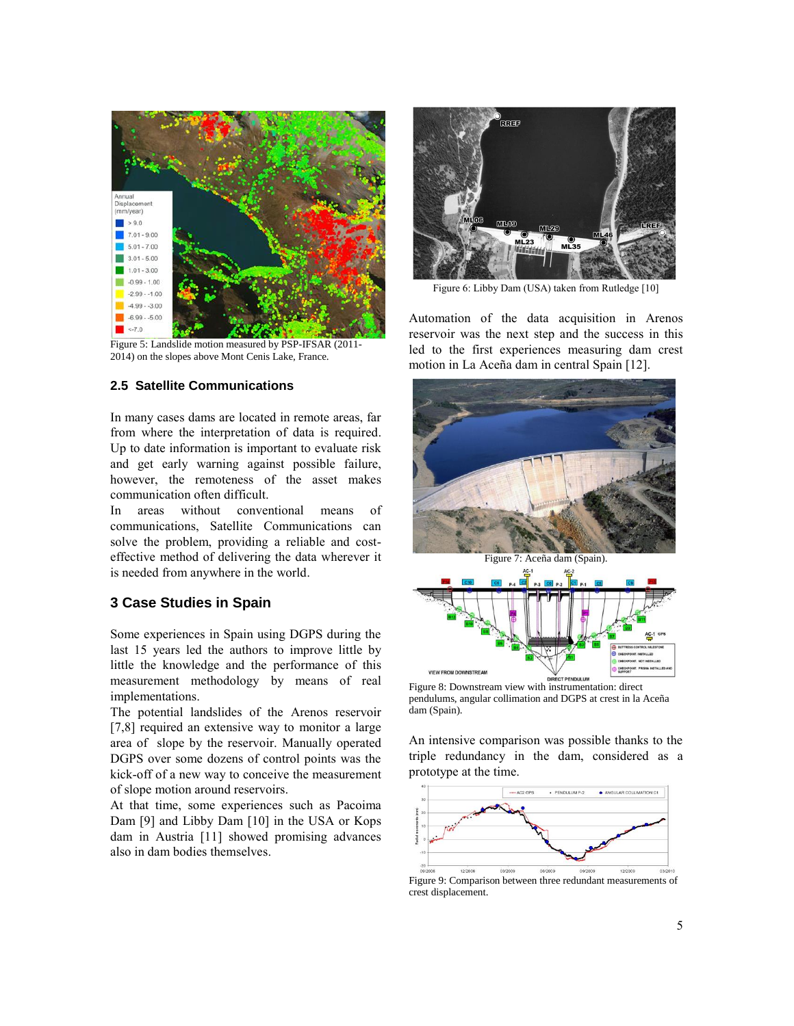

Figure 5: Landslide motion measured by PSP-IFSAR (2011- 2014) on the slopes above Mont Cenis Lake, France.

#### **2.5 Satellite Communications**

In many cases dams are located in remote areas, far from where the interpretation of data is required. Up to date information is important to evaluate risk and get early warning against possible failure, however, the remoteness of the asset makes communication often difficult.

In areas without conventional means of communications, Satellite Communications can solve the problem, providing a reliable and costeffective method of delivering the data wherever it is needed from anywhere in the world.

#### **3 Case Studies in Spain**

Some experiences in Spain using DGPS during the last 15 years led the authors to improve little by little the knowledge and the performance of this measurement methodology by means of real implementations.

The potential landslides of the Arenos reservoir [7,8] required an extensive way to monitor a large area of slope by the reservoir. Manually operated DGPS over some dozens of control points was the kick-off of a new way to conceive the measurement of slope motion around reservoirs.

At that time, some experiences such as Pacoima Dam [9] and Libby Dam [10] in the USA or Kops dam in Austria [11] showed promising advances also in dam bodies themselves.



Figure 6: Libby Dam (USA) taken from Rutledge [10]

Automation of the data acquisition in Arenos reservoir was the next step and the success in this led to the first experiences measuring dam crest motion in La Aceña dam in central Spain [12].





Figure 8: Downstream view with instrumentation: direct pendulums, angular collimation and DGPS at crest in la Aceña dam (Spain).

An intensive comparison was possible thanks to the triple redundancy in the dam, considered as a prototype at the time.



Figure 9: Comparison between three redundant measurements of crest displacement.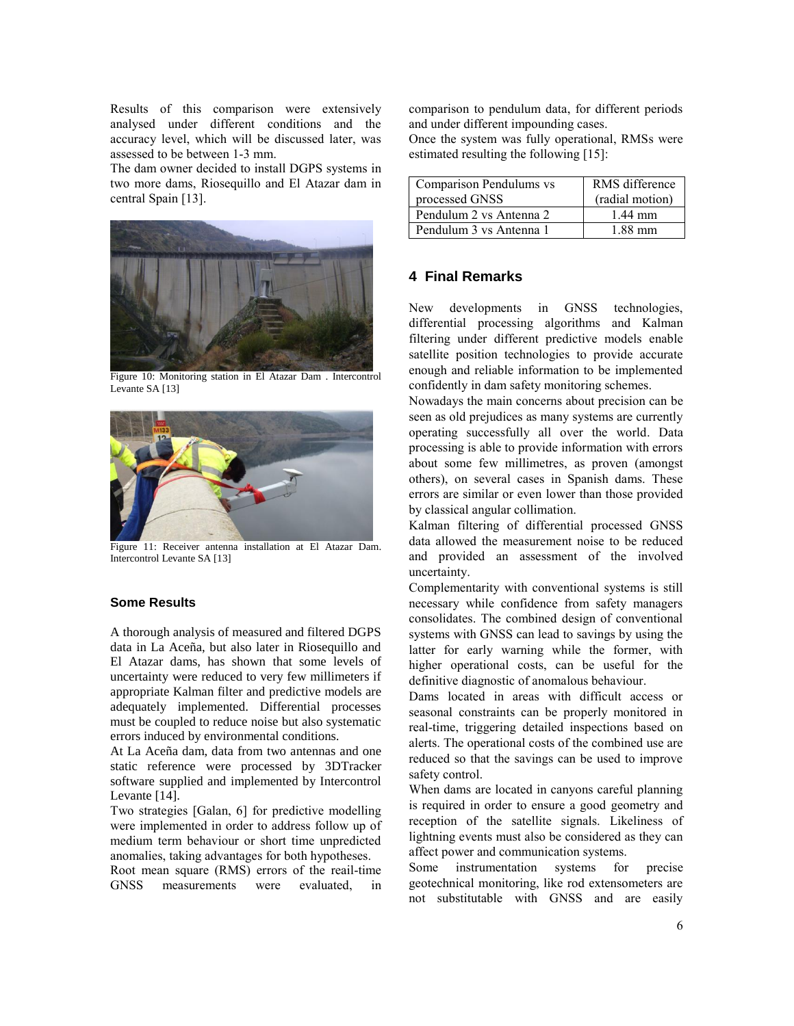Results of this comparison were extensively analysed under different conditions and the accuracy level, which will be discussed later, was assessed to be between 1-3 mm.

The dam owner decided to install DGPS systems in two more dams, Riosequillo and El Atazar dam in central Spain [13].



Figure 10: Monitoring station in El Atazar Dam . Intercontrol Levante SA [13]



Figure 11: Receiver antenna installation at El Atazar Dam. Intercontrol Levante SA [13]

#### **Some Results**

A thorough analysis of measured and filtered DGPS data in La Aceña, but also later in Riosequillo and El Atazar dams, has shown that some levels of uncertainty were reduced to very few millimeters if appropriate Kalman filter and predictive models are adequately implemented. Differential processes must be coupled to reduce noise but also systematic errors induced by environmental conditions.

At La Aceña dam, data from two antennas and one static reference were processed by 3DTracker software supplied and implemented by Intercontrol Levante [14].

Two strategies [Galan, 6] for predictive modelling were implemented in order to address follow up of medium term behaviour or short time unpredicted anomalies, taking advantages for both hypotheses.

Root mean square (RMS) errors of the reail-time GNSS measurements were evaluated, in

comparison to pendulum data, for different periods and under different impounding cases.

Once the system was fully operational, RMSs were estimated resulting the following [15]:

| Comparison Pendulums vs | RMS difference  |
|-------------------------|-----------------|
| processed GNSS          | (radial motion) |
| Pendulum 2 vs Antenna 2 | $1.44$ mm       |
| Pendulum 3 vs Antenna 1 | 1 88 mm         |

# **4 Final Remarks**

New developments in GNSS technologies, differential processing algorithms and Kalman filtering under different predictive models enable satellite position technologies to provide accurate enough and reliable information to be implemented confidently in dam safety monitoring schemes.

Nowadays the main concerns about precision can be seen as old prejudices as many systems are currently operating successfully all over the world. Data processing is able to provide information with errors about some few millimetres, as proven (amongst others), on several cases in Spanish dams. These errors are similar or even lower than those provided by classical angular collimation.

Kalman filtering of differential processed GNSS data allowed the measurement noise to be reduced and provided an assessment of the involved uncertainty.

Complementarity with conventional systems is still necessary while confidence from safety managers consolidates. The combined design of conventional systems with GNSS can lead to savings by using the latter for early warning while the former, with higher operational costs, can be useful for the definitive diagnostic of anomalous behaviour.

Dams located in areas with difficult access or seasonal constraints can be properly monitored in real-time, triggering detailed inspections based on alerts. The operational costs of the combined use are reduced so that the savings can be used to improve safety control.

When dams are located in canyons careful planning is required in order to ensure a good geometry and reception of the satellite signals. Likeliness of lightning events must also be considered as they can affect power and communication systems.

Some instrumentation systems for precise geotechnical monitoring, like rod extensometers are not substitutable with GNSS and are easily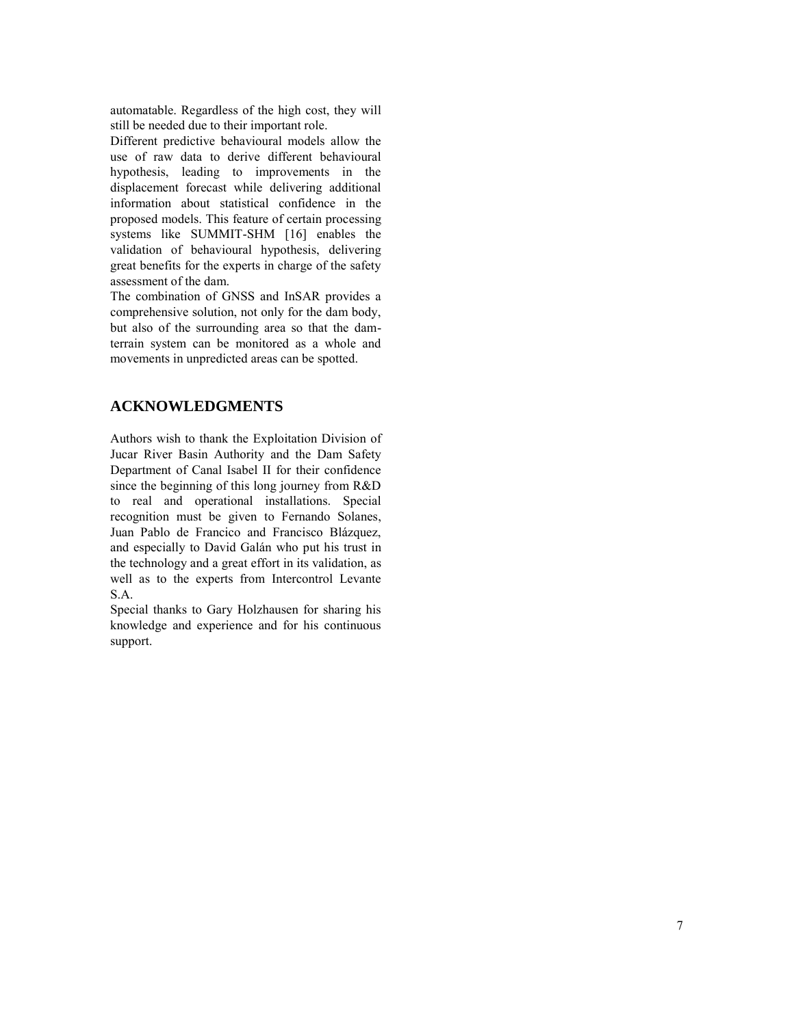automatable. Regardless of the high cost, they will still be needed due to their important role.

Different predictive behavioural models allow the use of raw data to derive different behavioural hypothesis, leading to improvements in the displacement forecast while delivering additional information about statistical confidence in the proposed models. This feature of certain processing systems like SUMMIT-SHM [16] enables the validation of behavioural hypothesis, delivering great benefits for the experts in charge of the safety assessment of the dam.

The combination of GNSS and InSAR provides a comprehensive solution, not only for the dam body, but also of the surrounding area so that the damterrain system can be monitored as a whole and movements in unpredicted areas can be spotted.

# **ACKNOWLEDGMENTS**

Authors wish to thank the Exploitation Division of Jucar River Basin Authority and the Dam Safety Department of Canal Isabel II for their confidence since the beginning of this long journey from R&D to real and operational installations. Special recognition must be given to Fernando Solanes, Juan Pablo de Francico and Francisco Blázquez, and especially to David Galán who put his trust in the technology and a great effort in its validation, as well as to the experts from Intercontrol Levante S.A.

Special thanks to Gary Holzhausen for sharing his knowledge and experience and for his continuous support.